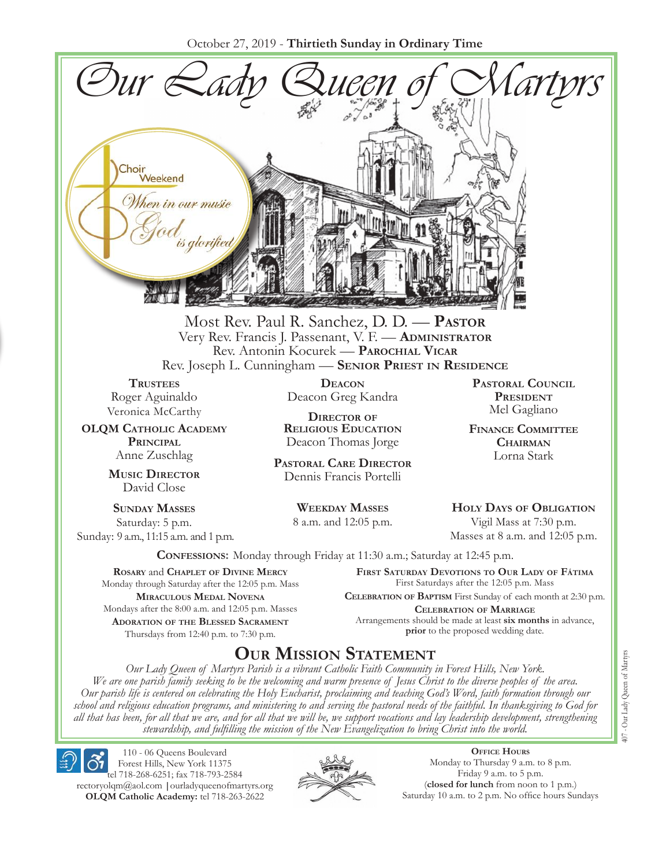October 27, 2019 - **Thirtieth Sunday in Ordinary Time**



Most Rev. Paul R. Sanchez, D. D. — **Pastor** Very Rev. Francis J. Passenant, V. F. — **Administrator** Rev. Antonin Kocurek — **Parochial Vicar** Rev. Joseph L. Cunningham — **Senior Priest in Residence**

**TRUSTEES** Roger Aguinaldo Veronica McCarthy

**OLQM Catholic Academy Principal** Anne Zuschlag

> **Music Director** David Close

**Sunday Masses** Saturday: 5 p.m. Sunday: 9 a.m., 11:15 a.m. and 1 p.m.

**Deacon** Deacon Greg Kandra

**Director of Religious Education** Deacon Thomas Jorge

**Pastoral Care Director** Dennis Francis Portelli

> **Weekday Masses** 8 a.m. and 12:05 p.m.

**Pastoral Council President** Mel Gagliano

**Finance Committee Chairman** Lorna Stark

**Holy Days of Obligation** Vigil Mass at 7:30 p.m.

Masses at 8 a.m. and 12:05 p.m.

**Confessions:** Monday through Friday at 11:30 a.m.; Saturday at 12:45 p.m.

**Rosary** and **Chaplet of Divine Mercy** Monday through Saturday after the 12:05 p.m. Mass **Miraculous Medal Novena** Mondays after the 8:00 a.m. and 12:05 p.m. Masses **Adoration of the Blessed Sacrament** Thursdays from 12:40 p.m. to 7:30 p.m.

**First Saturday Devotions to Our Lady of Fátima** First Saturdays after the 12:05 p.m. Mass

**Celebration of Baptism** First Sunday of each month at 2:30 p.m. **Celebration of Marriage** Arrangements should be made at least **six months** in advance, **prior** to the proposed wedding date.

# **Our Mission Statement**

*Our Lady Queen of Martyrs Parish is a vibrant Catholic Faith Community in Forest Hills, New York. We are one parish family seeking to be the welcoming and warm presence of Jesus Christ to the diverse peoples of the area. Our parish life is centered on celebrating the Holy Eucharist, proclaiming and teaching God's Word, faith formation through our school and religious education programs, and ministering to and serving the pastoral needs of the faithful. In thanksgiving to God for all that has been, for all that we are, and for all that we will be, we support vocations and lay leadership development, strengthening stewardship, and fulfilling the mission of the New Evangelization to bring Christ into the world.*

110 - 06 Queens Boulevard Forest Hills, New York 11375 tel 718-268-6251; fax 718-793-2584 rectoryolqm@aol.com **|**ourladyqueenofmartyrs.org **OLQM Catholic Academy:** tel 718-263-2622



**Office Hours** Monday to Thursday 9 a.m. to 8 p.m. Friday 9 a.m. to 5 p.m. (**closed for lunch** from noon to 1 p.m.) Saturday 10 a.m. to 2 p.m. No office hours Sundays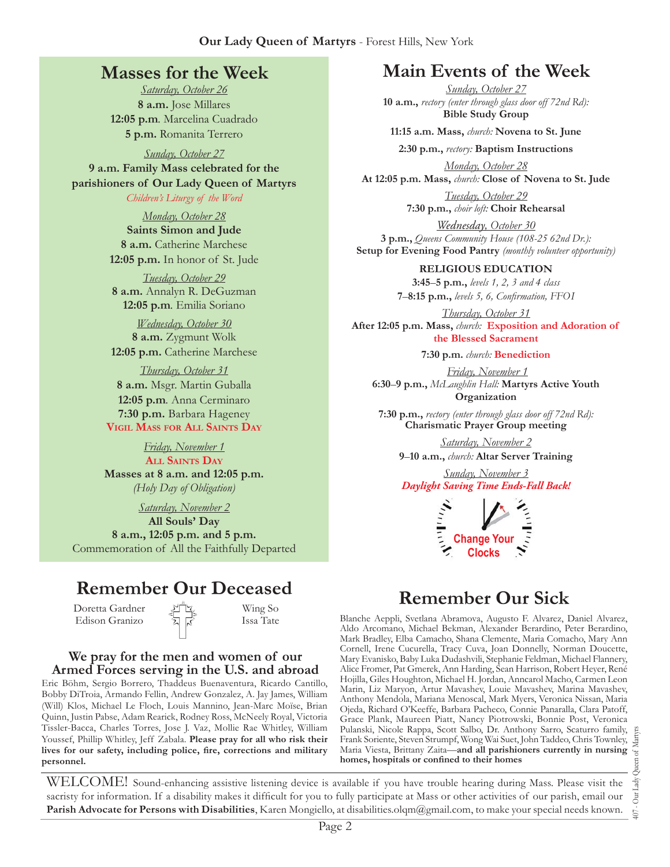# **Masses for the Week**

*Saturday, October 26* **8 a.m.** Jose Millares **12:05 p.m***.* Marcelina Cuadrado **5 p.m.** Romanita Terrero

*Sunday, October 27* **9 a.m. Family Mass celebrated for the parishioners of Our Lady Queen of Martyrs** *Children's Liturgy of the Word* 

> *Monday, October 28* **Saints Simon and Jude 8 a.m.** Catherine Marchese **12:05 p.m.** In honor of St. Jude

*Tuesday, October 29* **8 a.m.** Annalyn R. DeGuzman **12:05 p.m***.* Emilia Soriano

*Wednesday, October 30* **8 a.m.** Zygmunt Wolk **12:05 p.m.** Catherine Marchese

*Thursday, October 31* **8 a.m.** Msgr. Martin Guballa **12:05 p.m***.* Anna Cerminaro **7:30 p.m.** Barbara Hageney **Vigil Mass for All Saints Day**

> *Friday, November 1* **All Saints Day**

**Masses at 8 a.m. and 12:05 p.m.** *(Holy Day of Obligation)*

*Saturday, November 2* **All Souls' Day 8 a.m., 12:05 p.m. and 5 p.m.**  8 a.m., 12:05 p.m. and 5 p.m.<br>
Commemoration of All the Faithfully Departed **Change Your Change Your** *Change Your* 

# **Remember Our Deceased**

Doretta Gardner Edison Granizo

Wing So Issa Tate

### **We pray for the men and women of our Armed Forces serving in the U.S. and abroad**

Eric Böhm, Sergio Borrero, Thaddeus Buenaventura, Ricardo Cantillo, Bobby DiTroia, Armando Fellin, Andrew Gonzalez, A. Jay James, William (Will) Klos, Michael Le Floch, Louis Mannino, Jean-Marc Moïse, Brian Quinn, Justin Pabse, Adam Rearick, Rodney Ross, McNeely Royal, Victoria Tissler-Bacca, Charles Torres, Jose J. Vaz, Mollie Rae Whitley, William Youssef, Phillip Whitley, Jeff Zabala. **Please pray for all who risk their lives for our safety, including police, fire, corrections and military personnel.**

# **Main Events of the Week**

*Sunday, October 27* **10 a.m.,** *rectory (enter through glass door off 72nd Rd):* **Bible Study Group**

**11:15 a.m. Mass,** *church:* **Novena to St. June**

**2:30 p.m.,** *rectory:* **Baptism Instructions**

*Monday, October 28* **At 12:05 p.m. Mass,** *church:* **Close of Novena to St. Jude**

> *Tuesday, October 29* **7:30 p.m.,** *choir loft:* **Choir Rehearsal**

*Wednesday, October 30* **3 p.m.,** *Queens Community House (108-25 62nd Dr.):*  **Setup for Evening Food Pantry** *(monthly volunteer opportunity)*

**RELIGIOUS EDUCATION** 

**3:45**–**5 p.m.,** *levels 1, 2, 3 and 4 class* **7**–**8:15 p.m.,** *levels 5, 6, Confirmation, FFO  I*

*Thursday, October 31* **After 12:05 p.m. Mass,** *church:* **Exposition and Adoration of the Blessed Sacrament**

**7:30 p.m.** *church:* **Benediction**

*Friday, November 1* **6:30**–**9 p.m.,** *McLaughlin Hall:* **Martyrs Active Youth Organization**

**7:30 p.m.,** *rectory (enter through glass door off 72nd Rd):* **Charismatic Prayer Group meeting**

*Saturday, November 2* **9**–**10 a.m.,** *church:* **Altar Server Training**

*Sunday, November 3 Daylight Saving Time Ends-Fall Back!*



# **Remember Our Sick**

Blanche Aeppli, Svetlana Abramova, Augusto F. Alvarez, Daniel Alvarez, Aldo Arcomano, Michael Bekman, Alexander Berardino, Peter Berardino, Mark Bradley, Elba Camacho, Shana Clemente, Maria Comacho, Mary Ann Cornell, Irene Cucurella, Tracy Cuva, Joan Donnelly, Norman Doucette, Mary Evanisko, Baby Luka Dudashvili, Stephanie Feldman, Michael Flannery, Alice Fromer, Pat Gmerek, Ann Harding, Sean Harrison, Robert Heyer, René Hojilla, Giles Houghton, Michael H. Jordan, Anncarol Macho, Carmen Leon Marin, Liz Maryon, Artur Mavashev, Louie Mavashev, Marina Mavashev, Anthony Mendola, Mariana Menoscal, Mark Myers, Veronica Nissan, Maria Ojeda, Richard O'Keeffe, Barbara Pacheco, Connie Panaralla, Clara Patoff, Grace Plank, Maureen Piatt, Nancy Piotrowski, Bonnie Post, Veronica Pulanski, Nicole Rappa, Scott Salbo, Dr. Anthony Sarro, Scaturro family, E-<br>Frank Soriente, Steven Strumpf, Wong Wai Suet, John Taddeo, Chris Townley, Maria Viesta, Brittany Zaita—a**nd all parishioners currently in nursing** Frank Soriente, Steven Strumpf, Wong Wai Suet, John Taddeo, Chris Townley, Maria Viesta, Brittany Zaita—**and all parishioners currently in nursing homes, hospitals or confined to their homes**

WELCOME! Sound-enhancing assistive listening device is available if you have trouble hearing during Mass. Please visit the sacristy for information. If a disability makes it difficult for you to fully participate at Mass or other activities of our parish, email our **Parish Advocate for Persons with Disabilities**, Karen Mongiello, at disabilities.olqm@gmail.com, to make your special needs known.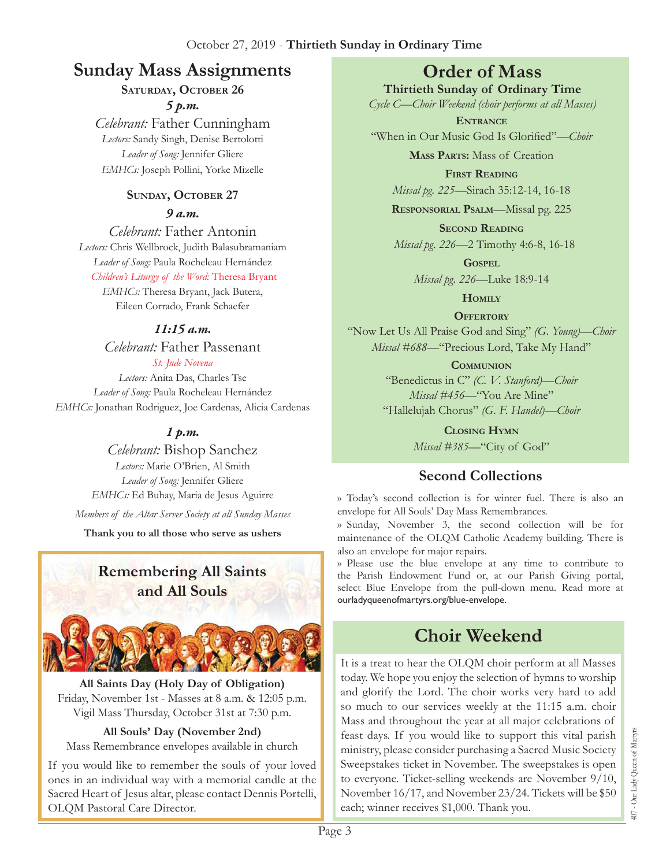# **Sunday Mass Assignments Order of Mass**

### SATURDAY, OCTOBER 26 *5 p.m.*

*Celebrant:* Father Cunningham *Lectors:* Sandy Singh, Denise Bertolotti *Leader of Song:* Jennifer Gliere *EMHCs:* Joseph Pollini, Yorke Mizelle

### **Sunday, October 27**

*9 a.m.* 

*Celebrant:* Father Antonin *Lectors:* Chris Wellbrock, Judith Balasubramaniam *Leader of Song:* Paula Rocheleau Hernández *Children's Liturgy of the Word:* Theresa Bryant

*EMHCs:* Theresa Bryant, Jack Butera, Eileen Corrado, Frank Schaefer

### *11:15 a.m.*

*Celebrant:* Father Passenant *St. Jude Novena*

*Lectors:* Anita Das, Charles Tse *Leader of Song:* Paula Rocheleau Hernández *EMHCs:* Jonathan Rodriguez, Joe Cardenas, Alicia Cardenas

# *1 p.m.*

*Celebrant:* Bishop Sanchez *Lectors:* Marie O'Brien, Al Smith *Leader of Song:* Jennifer Gliere *EMHCs:* Ed Buhay, Maria de Jesus Aguirre

*Members of the Altar Server Society at all Sunday Masses*

**Thank you to all those who serve as ushers**

# **Remembering All Saints and All Souls**



**All Saints Day (Holy Day of Obligation)** Friday, November 1st - Masses at 8 a.m. & 12:05 p.m. Vigil Mass Thursday, October 31st at 7:30 p.m.

### **All Souls' Day (November 2nd)**

Mass Remembrance envelopes available in church

If you would like to remember the souls of your loved ones in an individual way with a memorial candle at the Sacred Heart of Jesus altar, please contact Dennis Portelli, OLQM Pastoral Care Director.

**Thirtieth Sunday of Ordinary Time**

*Cycle C—Choir Weekend (choir performs at all Masses)* **Entrance**

"When in Our Music God Is Glorified"*—Choir* 

**Mass Parts:** Mass of Creation

**First Reading** *Missal pg. 225—*Sirach 35:12-14, 16-18

**Responsorial Psalm**—Missal pg. 225

**Second Reading** *Missal pg. 226—*2 Timothy 4:6-8, 16-18

> **Gospel** *Missal pg. 226—*Luke 18:9-14

> > **Homily**

**Offertory**

"Now Let Us All Praise God and Sing" *(G. Young)—Choir Missal #688—*"Precious Lord, Take My Hand"

**Communion**

"Benedictus in C" *(C. V. Stanford)—Choir Missal #456—*"You Are Mine" "Hallelujah Chorus" *(G. F. Handel)—Choir* 

> **Closing Hymn** *Missal #385—*"City of God"

# **Second Collections**

›› Today's second collection is for winter fuel. There is also an envelope for All Souls' Day Mass Remembrances.

›› Sunday, November 3, the second collection will be for maintenance of the OLQM Catholic Academy building. There is also an envelope for major repairs.

›› Please use the blue envelope at any time to contribute to the Parish Endowment Fund or, at our Parish Giving portal, select Blue Envelope from the pull-down menu. Read more at ourladyqueenofmartyrs.org/blue-envelope.

# **Choir Weekend**

It is a treat to hear the OLQM choir perform at all Masses today. We hope you enjoy the selection of hymns to worship and glorify the Lord. The choir works very hard to add so much to our services weekly at the 11:15 a.m. choir Mass and throughout the year at all major celebrations of feast days. If you would like to support this vital parish ministry, please consider purchasing a Sacred Music Society Sweepstakes ticket in November. The sweepstakes is open to everyone. Ticket-selling weekends are November 9/10, November 16/17, and November 23/24. Tickets will be \$50 each; winner receives \$1,000. Thank you.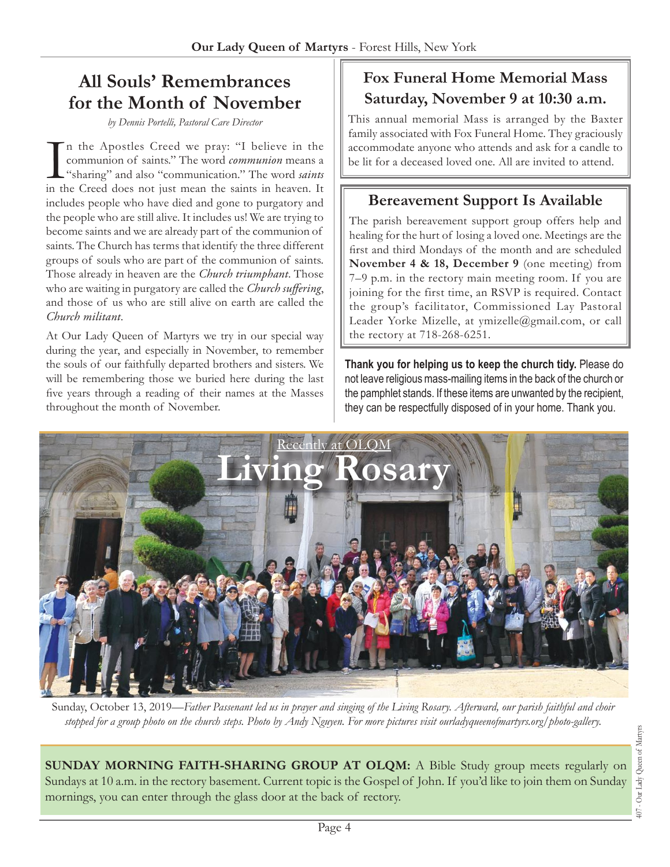# **All Souls' Remembrances for the Month of November**

*by Dennis Portelli, Pastoral Care Director*

In the Apostles Creed we pray: "I believe in the communion of saints." The word *communion* means a "sharing" and also "communication." The word *saints* in the Creed does not just mean the saints in heaven. It n the Apostles Creed we pray: "I believe in the communion of saints." The word *communion* means a "sharing" and also "communication." The word *saints* includes people who have died and gone to purgatory and the people who are still alive. It includes us! We are trying to become saints and we are already part of the communion of saints. The Church has terms that identify the three different groups of souls who are part of the communion of saints. Those already in heaven are the *Church triumphant*. Those who are waiting in purgatory are called the *Church suffering*, and those of us who are still alive on earth are called the *Church militant*.

At Our Lady Queen of Martyrs we try in our special way during the year, and especially in November, to remember the souls of our faithfully departed brothers and sisters. We will be remembering those we buried here during the last five years through a reading of their names at the Masses throughout the month of November.

# **Fox Funeral Home Memorial Mass Saturday, November 9 at 10:30 a.m.**

This annual memorial Mass is arranged by the Baxter family associated with Fox Funeral Home. They graciously accommodate anyone who attends and ask for a candle to be lit for a deceased loved one. All are invited to attend.

# **Bereavement Support Is Available**

The parish bereavement support group offers help and healing for the hurt of losing a loved one. Meetings are the first and third Mondays of the month and are scheduled **November 4 & 18, December 9** (one meeting) from 7–9 p.m. in the rectory main meeting room. If you are joining for the first time, an RSVP is required. Contact the group's facilitator, Commissioned Lay Pastoral Leader Yorke Mizelle, at ymizelle@gmail.com, or call the rectory at 718-268-6251.

**Thank you for helping us to keep the church tidy.** Please do not leave religious mass-mailing items in the back of the church or the pamphlet stands. If these items are unwanted by the recipient, they can be respectfully disposed of in your home. Thank you.



Sunday, October 13, 2019*—Father Passenant led us in prayer and singing of the Living Rosary. Afterward, our parish faithful and choir stopped for a group photo on the church steps. Photo by Andy Nguyen. For more pictures visit ourladyqueenofmartyrs.org/photo-gallery.*

**SUNDAY MORNING FAITH-SHARING GROUP AT OLQM:** A Bible Study group meets regularly on Sundays at 10 a.m. in the rectory basement. Current topic is the Gospel of John. If you'd like to join them on Sunday mornings, you can enter through the glass door at the back of rectory.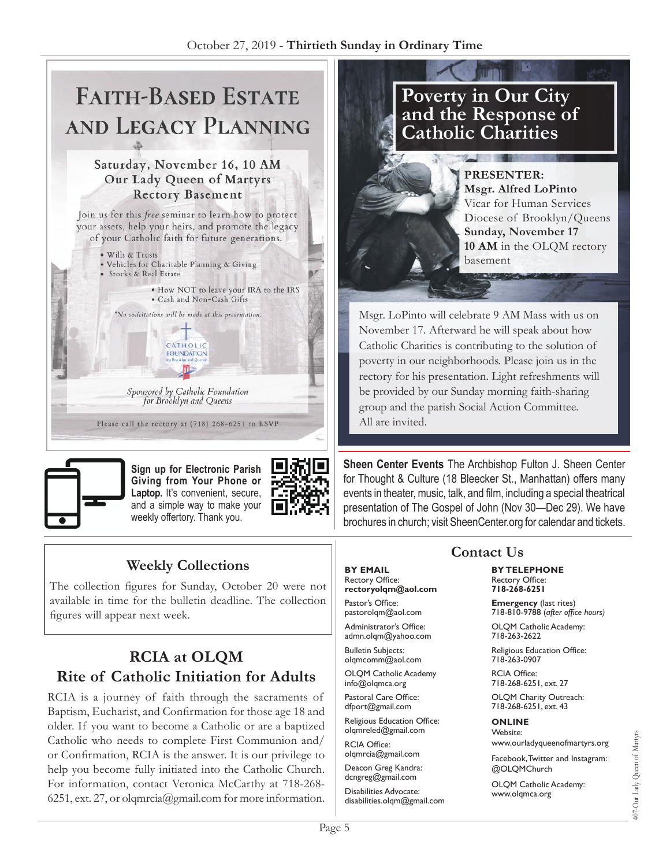# **SAVID** LECA **AND**

### Saturday, November 16, 10 AM Our Lady Queen of Martyrs **Rectory Basement**

Join us for this free seminar to learn how to protect your assets, help your heirs, and promote the legacy of your Catholic faith for future generations.

· Wills & Trusts . Vehicles for Charitable Planning & Giving · Stocks & Real Estate . How NOT to leave your IRA to the IRS · Cash and Non-Cash Gifts \*No solicitations will be made at this presentation.  $+$ CATHOLIC **FOUNDATION** 

> Sponsored by Catholic Foundation for Brooklyn and Queens

Please call the rectory at (718) 268-6251 to RSVP



**Sign up for Electronic Parish Giving from Your Phone or**  Laptop. It's convenient, secure, and a simple way to make your weekly offertory. Thank you.



# **Weekly Collections**

The collection figures for Sunday, October 20 were not available in time for the bulletin deadline. The collection figures will appear next week.

# **RCIA at OLQM Rite of Catholic Initiation for Adults**

RCIA is a journey of faith through the sacraments of Baptism, Eucharist, and Confirmation for those age 18 and older. If you want to become a Catholic or are a baptized Catholic who needs to complete First Communion and/ or Confirmation, RCIA is the answer. It is our privilege to help you become fully initiated into the Catholic Church. For information, contact Veronica McCarthy at 718-268- 6251, ext. 27, or olqmrcia@gmail.com for more information.

# **Poverty in Our City and the Response of Catholic Charities**

 $\alpha$  and  $\alpha$ 

**PRESENTER: Msgr. Alfred LoPinto** Vicar for Human Services Diocese of Brooklyn/Queens **Sunday, November 17 10 AM** in the OLQM rectory basement

Msgr. LoPinto will celebrate 9 AM Mass with us on November 17. Afterward he will speak about how Catholic Charities is contributing to the solution of poverty in our neighborhoods. Please join us in the rectory for his presentation. Light refreshments will be provided by our Sunday morning faith-sharing group and the parish Social Action Committee. All are invited.

**Sheen Center Events** The Archbishop Fulton J. Sheen Center for Thought & Culture (18 Bleecker St., Manhattan) offers many events in theater, music, talk, and film, including a special theatrical presentation of The Gospel of John (Nov 30—Dec 29). We have brochures in church; visit SheenCenter.org for calendar and tickets.

### **BY EMAIL** Rectory Office: **rectoryolqm@aol.com**

Pastor's Office: pastorolqm@aol.com

Administrator's Office: admn.olqm@yahoo.com

Bulletin Subjects: olqmcomm@aol.com

OLQM Catholic Academy info@olqmca.org

Pastoral Care Office: dfport@gmail.com

Religious Education Office: olqmreled@gmail.com

RCIA Office: olqmrcia@gmail.com

Deacon Greg Kandra: dcngreg@gmail.com

Disabilities Advocate: disabilities.olqm@gmail.com

# **Contact Us**

**BY TELEPHONE** Rectory Office: **718-268-6251**

**Emergency** (last rites) 718-810-9788 (*after office hours)*

OLQM Catholic Academy: 718-263-2622

Religious Education Office: 718-263-0907

RCIA Office: 718-268-6251, ext. 27

OLQM Charity Outreach: 718-268-6251, ext. 43

### **ONLINE** Website:

www.ourladyqueenofmartyrs.org

Facebook, Twitter and Instagram: @OLQMChurch

OLQM Catholic Academy: www.olqmca.org